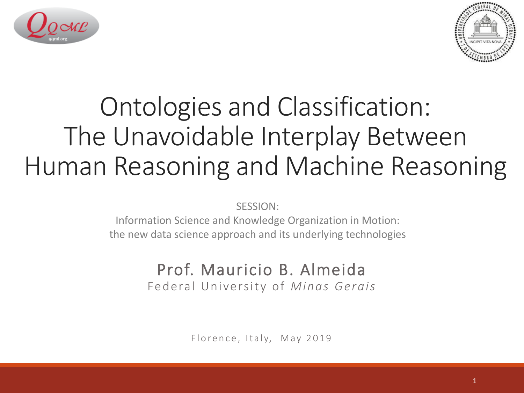



## Ontologies and Classification: The Unavoidable Interplay Between Human Reasoning and Machine Reasoning

SESSION:

Information Science and Knowledge Organization in Motion: the new data science approach and its underlying technologies

### Prof. Mauricio B. Almeida

Federal University of *Minas Gerais*

Florence, Italy, May 2019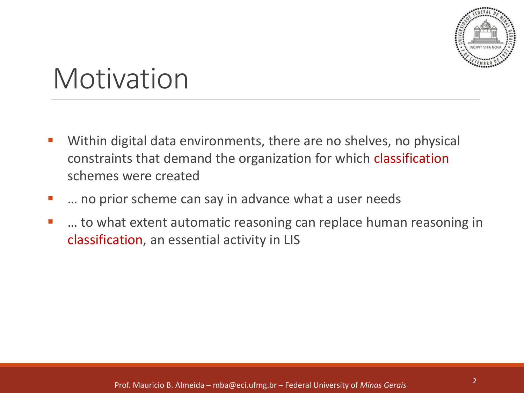

## Motivation

- Within digital data environments, there are no shelves, no physical constraints that demand the organization for which classification schemes were created
- ... no prior scheme can say in advance what a user needs
- ... to what extent automatic reasoning can replace human reasoning in classification, an essential activity in LIS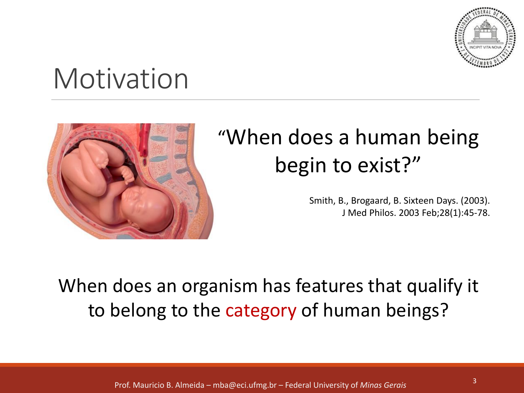

## **Motivation**



### "When does a human being begin to exist?"

Smith, B., Brogaard, B. Sixteen Days. (2003). J Med Philos. 2003 Feb;28(1):45-78.

When does an organism has features that qualify it to belong to the category of human beings?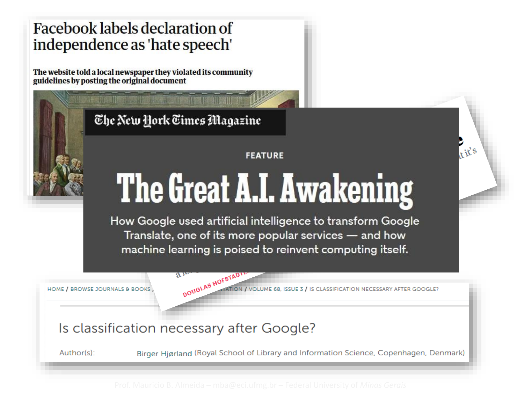#### **Facebook labels declaration of** independence as 'hate speech'

The website told a local newspaper they violated its community guidelines by posting the original document

The New York Times Magazine

#### **FEATURE**

# The Great A.I. Awakening

How Google used artificial intelligence to transform Google Translate, one of its more popular services — and how machine learning is poised to reinvent computing itself.

HOME / BROWSE JOURNALS & BOOKS

DOUGLAS HOFSTAD UME 68, ISSUE 3 / IS CLASSIFICATION NECESSARY AFTER GOOGLE?

#### Is classification necessary after Google?

 $a_{r}$ 

Birger Hiørland (Royal School of Library and Information Science, Copenhagen, Denmark) Author(s):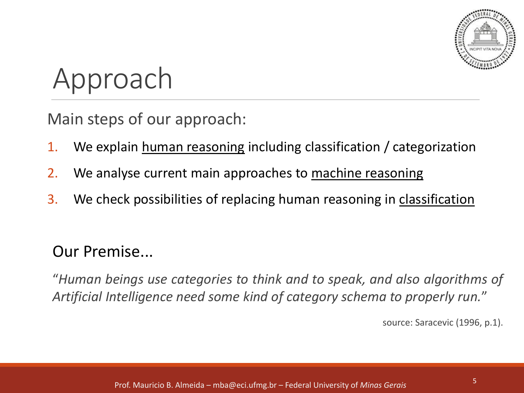

## Approach

Main steps of our approach:

- 1. We explain human reasoning including classification / categorization
- 2. We analyse current main approaches to machine reasoning
- 3. We check possibilities of replacing human reasoning in classification

Our Premise...

"*Human beings use categories to think and to speak, and also algorithms of Artificial Intelligence need some kind of category schema to properly run.*"

source: Saracevic (1996, p.1).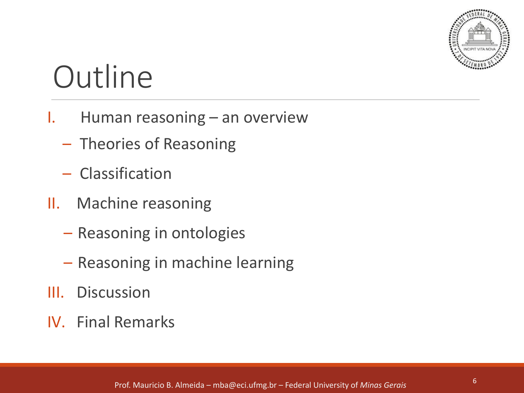

# **Outline**

- I. Human reasoning an overview
	- Theories of Reasoning
	- Classification
- II. Machine reasoning
	- Reasoning in ontologies
	- Reasoning in machine learning
- III. Discussion
- IV. Final Remarks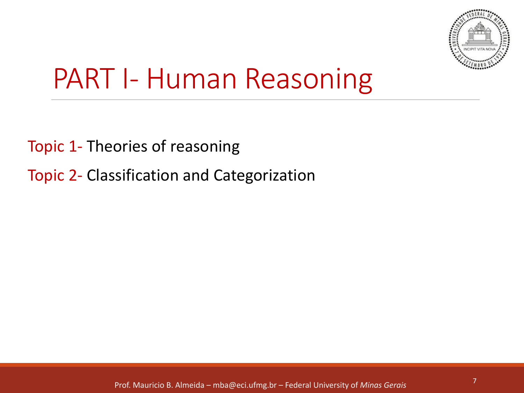

## PART I- Human Reasoning

- Topic 1- Theories of reasoning
- Topic 2- Classification and Categorization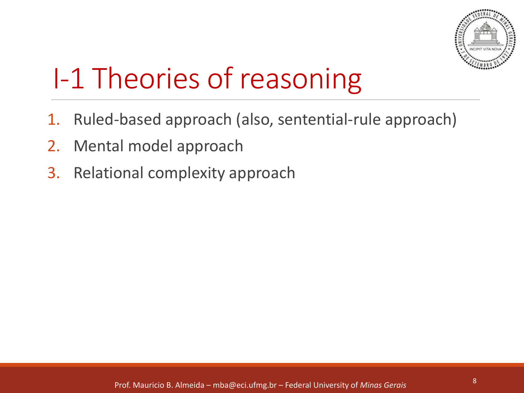

# I-1 Theories of reasoning

- 1. Ruled-based approach (also, sentential-rule approach)
- 2. Mental model approach
- 3. Relational complexity approach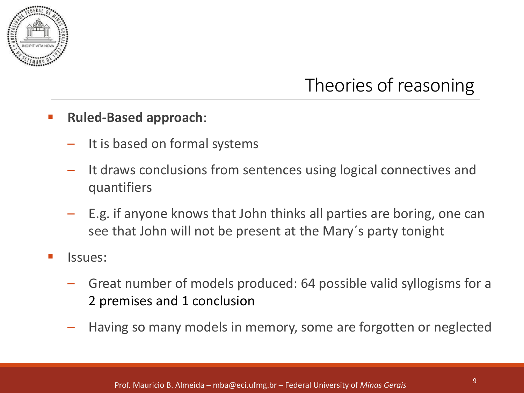

### Theories of reasoning

#### ▪ **Ruled-Based approach**:

- It is based on formal systems
- It draws conclusions from sentences using logical connectives and quantifiers
- E.g. if anyone knows that John thinks all parties are boring, one can see that John will not be present at the Mary´s party tonight
- lssues:
	- Great number of models produced: 64 possible valid syllogisms for a 2 premises and 1 conclusion
	- Having so many models in memory, some are forgotten or neglected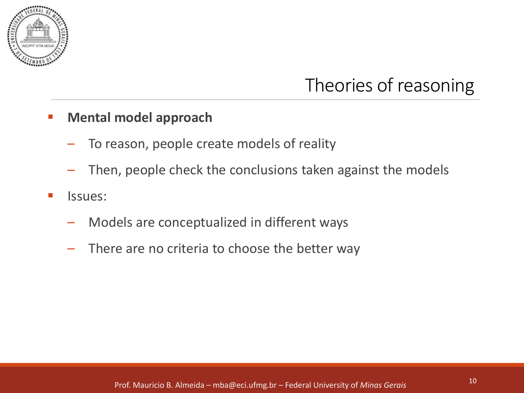

### Theories of reasoning

#### **Mental model approach**

- To reason, people create models of reality
- Then, people check the conclusions taken against the models
- Issues:
	- Models are conceptualized in different ways
	- There are no criteria to choose the better way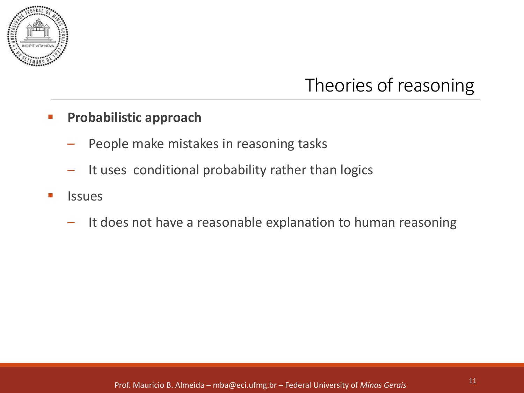

### Theories of reasoning

#### **Probabilistic approach**

- People make mistakes in reasoning tasks
- It uses conditional probability rather than logics
- **Issues** 
	- It does not have a reasonable explanation to human reasoning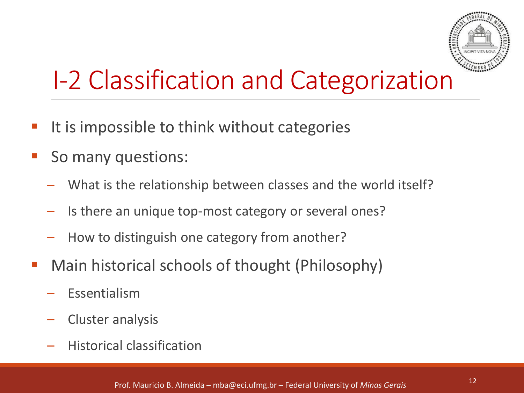

## I-2 Classification and Categorization

- It is impossible to think without categories
- So many questions:
	- What is the relationship between classes and the world itself?
	- Is there an unique top-most category or several ones?
	- How to distinguish one category from another?
- Main historical schools of thought (Philosophy)
	- **Fssentialism**
	- Cluster analysis
	- Historical classification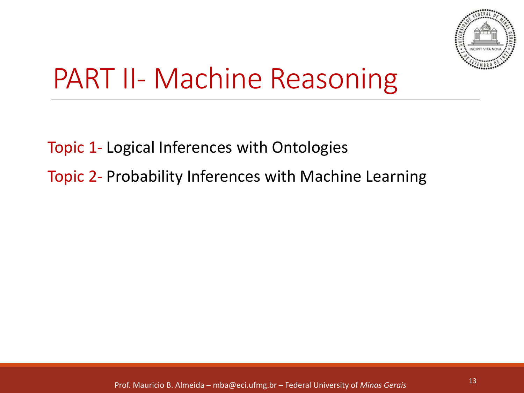

## PART II- Machine Reasoning

Topic 1- Logical Inferences with Ontologies

Topic 2- Probability Inferences with Machine Learning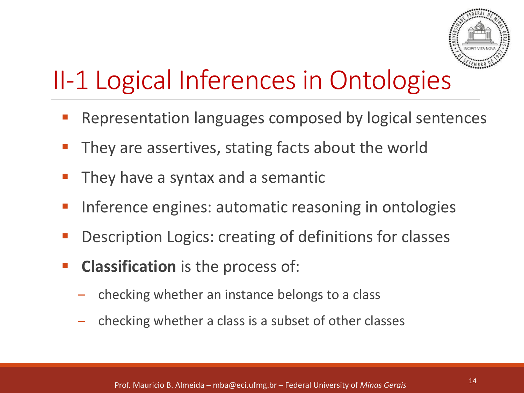

## II-1 Logical Inferences in Ontologies

- Representation languages composed by logical sentences
- They are assertives, stating facts about the world
- They have a syntax and a semantic
- Inference engines: automatic reasoning in ontologies
- Description Logics: creating of definitions for classes
- **Classification** is the process of:
	- checking whether an instance belongs to a class
	- checking whether a class is a subset of other classes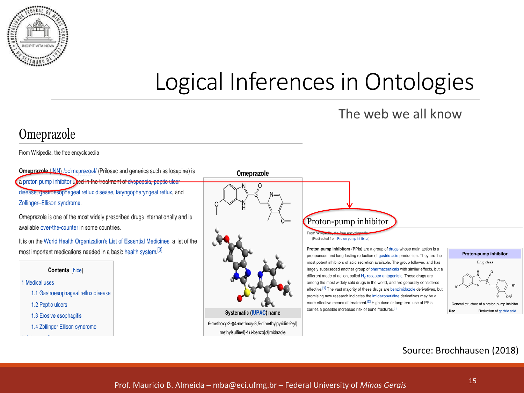

### Logical Inferences in Ontologies

#### The web we all know

#### Omeprazole

From Wikipedia, the free encyclopedia

**Omeprazole (INN)** /ovimaprezoul/ (Prilosec and generics such as losepine) is a proton pump inhibitor used in the treatment of dyspepsia, peptic ulcer disease, gastroesophageal reflux disease, laryngopharyngeal reflux, and Zollinger-Ellison syndrome.

Omeprazole is one of the most widely prescribed drugs internationally and is available over-the-counter in some countries.

It is on the World Health Organization's List of Essential Medicines, a list of the most important medications needed in a basic health system.<sup>[3]</sup>

#### Contents [hide]

#### 1 Medical uses

- 1.1 Gastroesophageal reflux disease
- 1.2 Peptic ulcers
- 1.3 Erosive esophagitis
- 1.4 Zollinger Ellison syndrome





6-methoxy-2-((4-methoxy-3,5-dimethylpyridin-2-yl) methylsulfinyl)-1H-benzo[d]imidazole



(Redirected from Proton pump inhibitor)

Proton-pump inhibitors (PPIs) are a group of drugs whose main action is a pronounced and long-lasting reduction of gastric acid production. They are the most potent inhibitors of acid secretion available. The group followed and has largely superseded another group of pharmaceuticals with similar effects, but a different mode of action, called H<sub>2</sub>-receptor antagonists. These drugs are among the most widely sold drugs in the world, and are generally considered effective.<sup>[1]</sup> The vast majority of these drugs are benzimidazole derivatives, but promising new research indicates the imidazopyridine derivatives may be a more effective means of treatment.<sup>[2]</sup> High dose or long-term use of PPIs carries a possible increased risk of bone fractures.<sup>[3]</sup>



#### Source: Brochhausen (2018)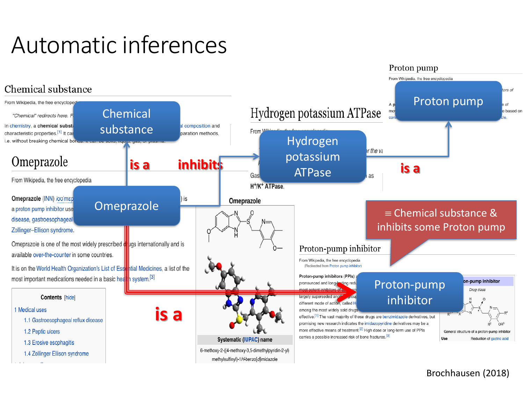### Automatic inferences



#### Brochhausen (2018)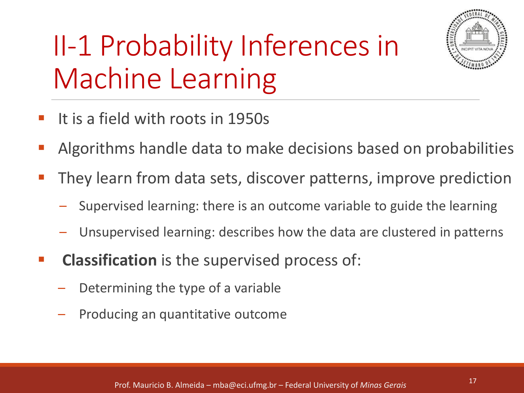# II-1 Probability Inferences in Machine Learning



- It is a field with roots in 1950s
- Algorithms handle data to make decisions based on probabilities
- They learn from data sets, discover patterns, improve prediction
	- Supervised learning: there is an outcome variable to guide the learning
	- Unsupervised learning: describes how the data are clustered in patterns
- **EXECUTE:** Classification is the supervised process of:
	- Determining the type of a variable
	- Producing an quantitative outcome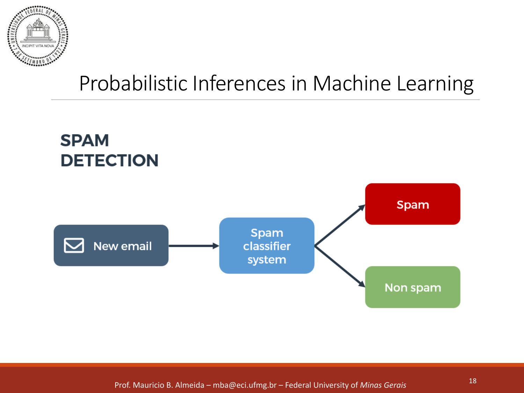

### Probabilistic Inferences in Machine Learning



<sup>18</sup> Prof. Mauricio B. Almeida – mba@eci.ufmg.br – Federal University of *Minas Gerais*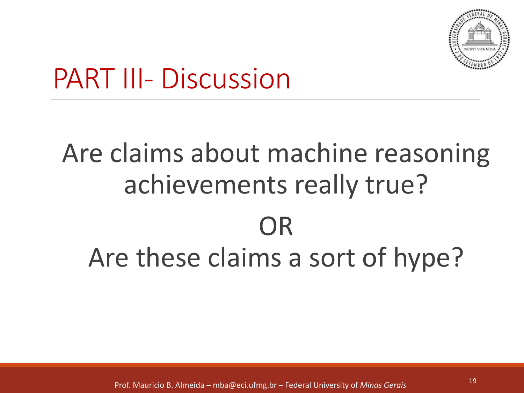

## PART III- Discussion

# Are claims about machine reasoning achievements really true? OR Are these claims a sort of hype?

<sup>19</sup> Prof. Mauricio B. Almeida – mba@eci.ufmg.br – Federal University of *Minas Gerais*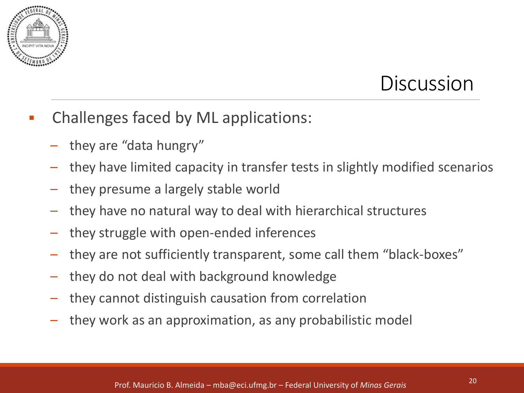

- Challenges faced by ML applications:
	- they are "data hungry"
	- they have limited capacity in transfer tests in slightly modified scenarios
	- they presume a largely stable world
	- they have no natural way to deal with hierarchical structures
	- they struggle with open-ended inferences
	- they are not sufficiently transparent, some call them "black-boxes"
	- they do not deal with background knowledge
	- they cannot distinguish causation from correlation
	- they work as an approximation, as any probabilistic model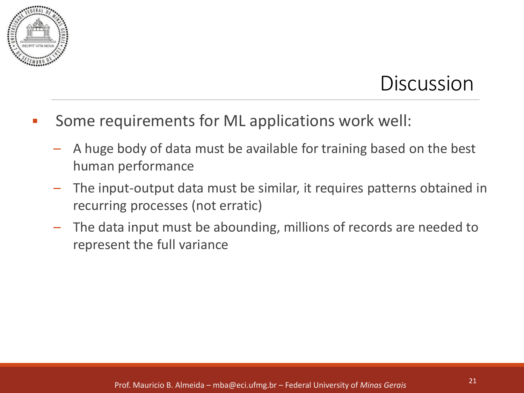

- Some requirements for ML applications work well:
	- A huge body of data must be available for training based on the best human performance
	- The input-output data must be similar, it requires patterns obtained in recurring processes (not erratic)
	- The data input must be abounding, millions of records are needed to represent the full variance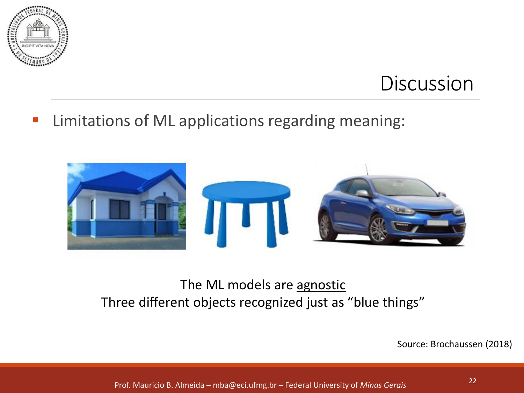

#### **EXEDENT EXEL 15 Instance Incontract Control** Limitations of ML applications regarding meaning:



#### The ML models are agnostic Three different objects recognized just as "blue things"

Source: Brochaussen (2018)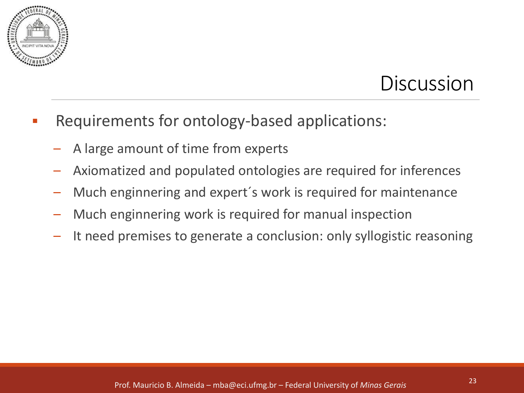

- Requirements for ontology-based applications:
	- A large amount of time from experts
	- Axiomatized and populated ontologies are required for inferences
	- Much enginnering and expert´s work is required for maintenance
	- Much enginnering work is required for manual inspection
	- It need premises to generate a conclusion: only syllogistic reasoning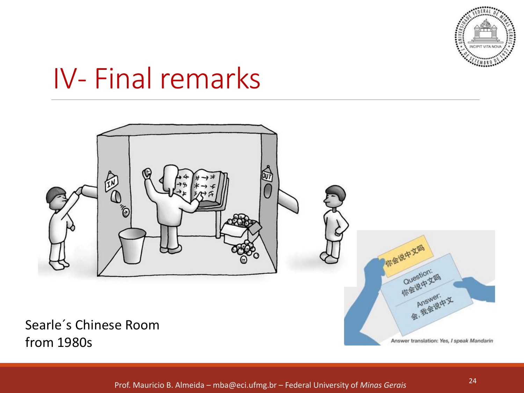

## IV- Final remarks

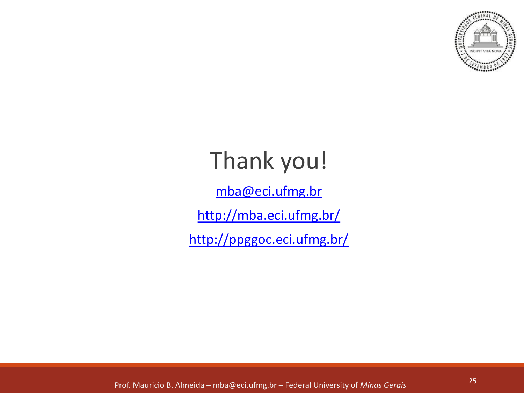

### Thank you!

mba@eci.ufmg.br

http://mba.eci.ufmg.br/

http://ppggoc.eci.ufmg.br/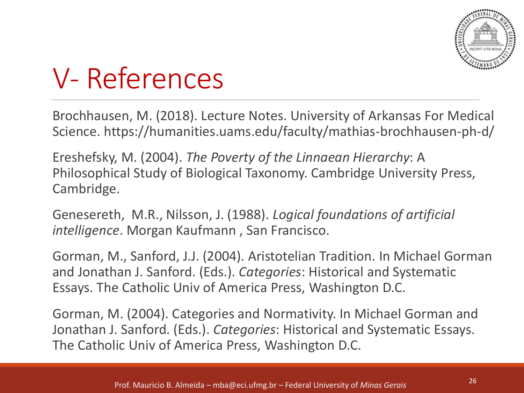

## V- References

Brochhausen, M. (2018). Lecture Notes. University of Arkansas For Medical Science. https://humanities.uams.edu/faculty/mathias-brochhausen-ph-d/

Ereshefsky, M. (2004). *The Poverty of the Linnaean Hierarchy*: A Philosophical Study of Biological Taxonomy. Cambridge University Press, Cambridge.

Genesereth, M.R., Nilsson, J. (1988). *Logical foundations of artificial intelligence*. Morgan Kaufmann , San Francisco.

Gorman, M., Sanford, J.J. (2004). Aristotelian Tradition. In Michael Gorman and Jonathan J. Sanford. (Eds.). *Categories*: Historical and Systematic Essays. The Catholic Univ of America Press, Washington D.C.

Gorman, M. (2004). Categories and Normativity. In Michael Gorman and Jonathan J. Sanford. (Eds.). *Categories*: Historical and Systematic Essays. The Catholic Univ of America Press, Washington D.C.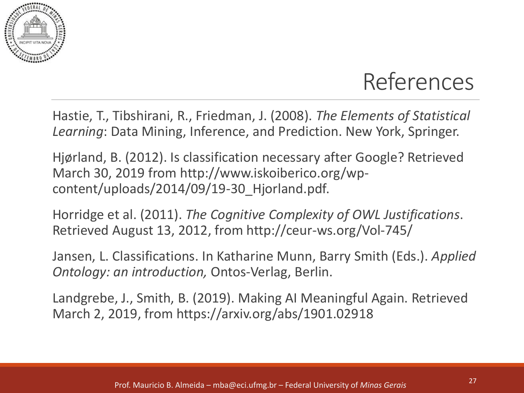

### References

Hastie, T., Tibshirani, R., Friedman, J. (2008). *The Elements of Statistical Learning*: Data Mining, Inference, and Prediction. New York, Springer.

Hjørland, B. (2012). Is classification necessary after Google? Retrieved March 30, 2019 from http://www.iskoiberico.org/wpcontent/uploads/2014/09/19-30\_Hjorland.pdf.

Horridge et al. (2011). *The Cognitive Complexity of OWL Justifications*. Retrieved August 13, 2012, from http://ceur-ws.org/Vol-745/

Jansen, L. Classifications. In Katharine Munn, Barry Smith (Eds.). *Applied Ontology: an introduction,* Ontos-Verlag, Berlin.

Landgrebe, J., Smith, B. (2019). Making AI Meaningful Again. Retrieved March 2, 2019, from https://arxiv.org/abs/1901.02918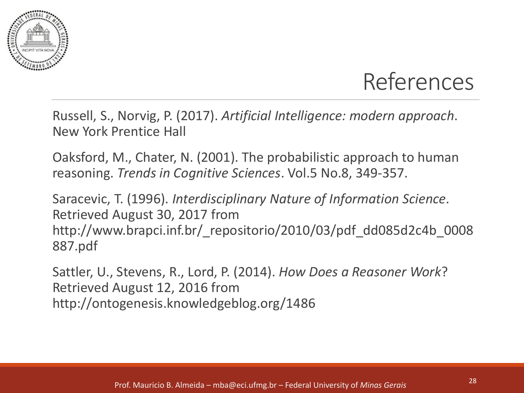



Russell, S., Norvig, P. (2017). *Artificial Intelligence: modern approach*. New York Prentice Hall

Oaksford, M., Chater, N. (2001). The probabilistic approach to human reasoning. *Trends in Cognitive Sciences*. Vol.5 No.8, 349-357.

Saracevic, T. (1996). *Interdisciplinary Nature of Information Science*. Retrieved August 30, 2017 from http://www.brapci.inf.br/\_repositorio/2010/03/pdf\_dd085d2c4b\_0008 887.pdf

Sattler, U., Stevens, R., Lord, P. (2014). *How Does a Reasoner Work*? Retrieved August 12, 2016 from http://ontogenesis.knowledgeblog.org/1486